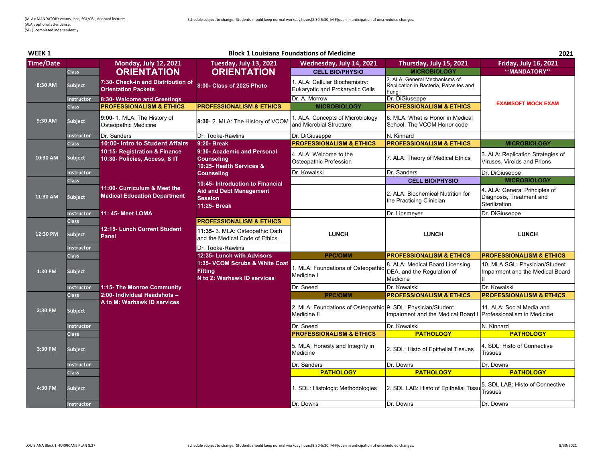| <b>WEEK1</b>     |                   |                                                                     |                                                                                 | <b>Block 1 Louisiana Foundations of Medicine</b>                            |                                                                                  | 2021                                                                       |
|------------------|-------------------|---------------------------------------------------------------------|---------------------------------------------------------------------------------|-----------------------------------------------------------------------------|----------------------------------------------------------------------------------|----------------------------------------------------------------------------|
| <b>Time/Date</b> |                   | <b>Monday, July 12, 2021</b>                                        | <b>Tuesday, July 13, 2021</b>                                                   | Wednesday, July 14, 2021                                                    | Thursday, July 15, 2021                                                          | <b>Friday, July 16, 2021</b>                                               |
|                  | <b>Class</b>      | <b>ORIENTATION</b>                                                  | <b>ORIENTATION</b>                                                              | <b>CELL BIO/PHYSIO</b>                                                      | <b>MICROBIOLOGY</b>                                                              | **MANDATORY**                                                              |
| 8:30 AM          | Subject           | 7:30- Check-in and Distribution of<br><b>Orientation Packets</b>    | 8:00- Class of 2025 Photo                                                       | 1. ALA: Cellular Biochemistry:<br>Eukaryotic and Prokaryotic Cells          | 2. ALA: General Mechanisms of<br>Replication in Bacteria, Parasites and<br>Funai |                                                                            |
|                  | <b>Instructor</b> | 8:30- Welcome and Greetings                                         |                                                                                 | Dr. A. Morrow                                                               | Dr. DiGiuseppe                                                                   | <b>EXAMSOFT MOCK EXAM</b>                                                  |
|                  | <b>Class</b>      | <b>PROFESSIONALISM &amp; ETHICS</b>                                 | <b>PROFESSIONALISM &amp; ETHICS</b>                                             | <b>MICROBIOLOGY</b>                                                         | <b>PROFESSIONALISM &amp; ETHICS</b>                                              |                                                                            |
| 9:30 AM          | Subject           | 9:00- 1. MLA: The History of<br>Osteopathic Medicine                | 8:30- 2. MLA: The History of VCOM                                               | 1. ALA: Concepts of Microbiology<br>and Microbial Structure                 | 6. MLA: What is Honor in Medical<br>School: The VCOM Honor code                  |                                                                            |
|                  | <b>Instructor</b> | Dr. Sanders                                                         | Dr. Tooke-Rawlins                                                               | Dr. DiGiuseppe                                                              | N. Kinnard                                                                       |                                                                            |
|                  | <b>Class</b>      | 10:00- Intro to Student Affairs                                     | 9:20- Break                                                                     | <b>PROFESSIONALISM &amp; ETHICS</b>                                         | <b>PROFESSIONALISM &amp; ETHICS</b>                                              | <b>MICROBIOLOGY</b>                                                        |
| 10:30 AM         | <b>Subject</b>    | 10:15- Registration & Finance<br>10:30- Policies, Access, & IT      | 9:30- Academic and Personal<br><b>Counseling</b><br>10:25- Health Services &    | 4. ALA: Welcome to the<br>Osteopathic Profession                            | 7. ALA: Theory of Medical Ethics                                                 | 3. ALA: Replication Strategies of<br>Viruses, Viroids and Prions           |
|                  | Instructor        |                                                                     | <b>Counseling</b>                                                               | Dr. Kowalski                                                                | Dr. Sanders                                                                      | Dr. DiGiuseppe                                                             |
|                  | <b>Class</b>      |                                                                     | 10:45- Introduction to Financial                                                |                                                                             | <b>CELL BIO/PHYSIO</b>                                                           | <b>MICROBIOLOGY</b>                                                        |
| 11:30 AM         | <b>Subject</b>    | 11:00- Curriculum & Meet the<br><b>Medical Education Department</b> | <b>Aid and Debt Management</b><br><b>Session</b><br>11:25- Break                |                                                                             | 2. ALA: Biochemical Nutrition for<br>the Practicing Clinician                    | 4. ALA: General Principles of<br>Diagnosis, Treatment and<br>Sterilization |
|                  | <b>Instructor</b> | 11: 45- Meet LOMA                                                   |                                                                                 |                                                                             | Dr. Lipsmeyer                                                                    | Dr. DiGiuseppe                                                             |
|                  | <b>Class</b>      |                                                                     | <b>PROFESSIONALISM &amp; ETHICS</b>                                             |                                                                             |                                                                                  |                                                                            |
| 12:30 PM         | Subject           | 12:15- Lunch Current Student<br>Panel                               | 11:35- 3. MLA: Osteopathic Oath<br>and the Medical Code of Ethics               | <b>LUNCH</b>                                                                | <b>LUNCH</b>                                                                     | <b>LUNCH</b>                                                               |
|                  | <b>Instructor</b> |                                                                     | Dr. Tooke-Rawlins                                                               |                                                                             |                                                                                  |                                                                            |
|                  | <b>Class</b>      |                                                                     | 12:35- Lunch with Advisors                                                      | <b>PPC/OMM</b>                                                              | <b>PROFESSIONALISM &amp; ETHICS</b>                                              | <b>PROFESSIONALISM &amp; ETHICS</b>                                        |
| 1:30 PM          | Subject           |                                                                     | 1:35- VCOM Scrubs & White Coat<br><b>Fitting</b><br>N to Z: Warhawk ID services | 1. MLA: Foundations of Osteopathic<br>Medicine I                            | 8. ALA: Medical Board Licensing,<br>DEA, and the Regulation of<br>Medicine       | 10. MLA SGL: Physician/Student<br>Impairment and the Medical Board         |
|                  | Instructor        | 1:15- The Monroe Community                                          |                                                                                 | Dr. Sneed                                                                   | Dr. Kowalski                                                                     | Dr. Kowalski                                                               |
|                  | <b>Class</b>      | 2:00- Individual Headshots -                                        |                                                                                 | <b>PPC/OMM</b>                                                              | <b>PROFESSIONALISM &amp; ETHICS</b>                                              | <b>PROFESSIONALISM &amp; ETHICS</b>                                        |
| 2:30 PM          | <b>Subject</b>    | A to M: Warhawk ID services                                         |                                                                                 | 2. MLA: Foundations of Osteopathic 9. SDL: Physician/Student<br>Medicine II | Impairment and the Medical Board I   Professionalism in Medicine                 | 11. ALA: Social Media and                                                  |
|                  | <b>Instructor</b> |                                                                     |                                                                                 | Dr. Sneed                                                                   | Dr. Kowalski                                                                     | N. Kinnard                                                                 |
|                  | <b>Class</b>      |                                                                     |                                                                                 | <b>PROFESSIONALISM &amp; ETHICS</b>                                         | <b>PATHOLOGY</b>                                                                 | <b>PATHOLOGY</b>                                                           |
| 3:30 PM          | <b>Subject</b>    |                                                                     |                                                                                 | 5. MLA: Honesty and Integrity in<br>Medicine                                | 2. SDL: Histo of Epithelial Tissues                                              | 4. SDL: Histo of Connective<br>Tissues                                     |
|                  | <b>Instructor</b> |                                                                     |                                                                                 | Dr. Sanders                                                                 | Dr. Downs                                                                        | Dr. Downs                                                                  |
|                  | <b>Class</b>      |                                                                     |                                                                                 | <b>PATHOLOGY</b>                                                            | <b>PATHOLOGY</b>                                                                 | <b>PATHOLOGY</b>                                                           |
| 4:30 PM          | Subject           |                                                                     |                                                                                 | 1. SDL: Histologic Methodologies                                            | 2. SDL LAB: Histo of Epithelial Tissu                                            | 5. SDL LAB: Histo of Connective<br><b>Tissues</b>                          |
|                  | Instructor        |                                                                     |                                                                                 | Dr. Downs                                                                   | Dr. Downs                                                                        | Dr. Downs                                                                  |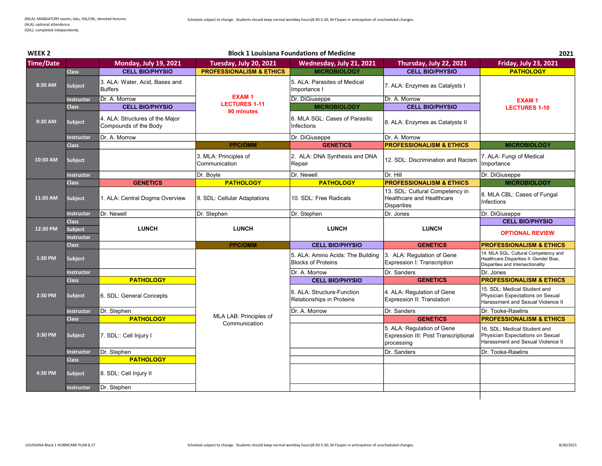| WEEK <sub>2</sub> | <b>Block 1 Louisiana Foundations of Medicine</b> |                                                          |                                         |                                                                |                                                                                    | 2021                                                                                                                 |
|-------------------|--------------------------------------------------|----------------------------------------------------------|-----------------------------------------|----------------------------------------------------------------|------------------------------------------------------------------------------------|----------------------------------------------------------------------------------------------------------------------|
| <b>Time/Date</b>  |                                                  | <b>Monday, July 19, 2021</b>                             | Tuesday, July 20, 2021                  | Wednesday, July 21, 2021                                       | Thursday, July 22, 2021                                                            | <b>Friday, July 23, 2021</b>                                                                                         |
|                   | <b>Class</b>                                     | <b>CELL BIO/PHYSIO</b>                                   | <b>PROFESSIONALISM &amp; ETHICS</b>     | <b>MICROBIOLOGY</b>                                            | <b>CELL BIO/PHYSIO</b>                                                             | <b>PATHOLOGY</b>                                                                                                     |
| 8:30 AM           | <b>Subject</b>                                   | 3. ALA: Water, Acid, Bases and<br><b>Buffers</b>         |                                         | 5. ALA: Parasites of Medical<br>Importance I                   | 7. ALA: Enzymes as Catalysts I                                                     |                                                                                                                      |
|                   | <b>Instructor</b>                                | Dr. A. Morrow                                            | <b>EXAM1</b>                            | Dr. DiGiuseppe                                                 | Dr. A. Morrow                                                                      | <b>EXAM1</b>                                                                                                         |
|                   | <b>Class</b>                                     | <b>CELL BIO/PHYSIO</b>                                   | <b>LECTURES 1-11</b><br>90 minutes      | <b>MICROBIOLOGY</b>                                            | <b>CELL BIO/PHYSIO</b>                                                             | <b>LECTURES 1-10</b>                                                                                                 |
| 9:30 AM           | <b>Subject</b>                                   | 4. ALA: Structures of the Major<br>Compounds of the Body |                                         | 6. MLA SGL: Cases of Parasitic<br>Infections                   | 8. ALA: Enzymes as Catalysts II                                                    |                                                                                                                      |
|                   | <b>Instructor</b>                                | Dr. A. Morrow                                            |                                         | Dr. DiGiuseppe                                                 | Dr. A. Morrow                                                                      |                                                                                                                      |
|                   | <b>Class</b>                                     |                                                          | <b>PPC/OMM</b>                          | <b>GENETICS</b>                                                | <b>PROFESSIONALISM &amp; ETHICS</b>                                                | <b>MICROBIOLOGY</b>                                                                                                  |
| 10:30 AM          | Subject                                          |                                                          | 3. MLA: Principles of<br>Communication  | 2. ALA: DNA Synthesis and DNA<br>Repair                        | 12. SDL: Discrimination and Racism                                                 | 7. ALA: Fungi of Medical<br>Importance                                                                               |
|                   | <b>Instructor</b>                                |                                                          | Dr. Boyle                               | Dr. Newell                                                     | Dr. Hill                                                                           | Dr. DiGiuseppe                                                                                                       |
|                   | <b>Class</b>                                     | <b>GENETICS</b>                                          | <b>PATHOLOGY</b>                        | <b>PATHOLOGY</b>                                               | <b>PROFESSIONALISM &amp; ETHICS</b>                                                | <b>MICROBIOLOGY</b>                                                                                                  |
| 11:30 AM          | Subject                                          | 1. ALA: Central Dogma Overview                           | 9. SDL: Cellular Adaptations            | 10. SDL: Free Radicals                                         | 13. SDL: Cultural Competency in<br>Healthcare and Healthcare<br><b>Disparities</b> | 8. MLA CBL: Cases of Fungal<br>Infections                                                                            |
|                   | <b>Instructor</b>                                | Dr. Newell                                               | Dr. Stephen                             | Dr. Stephen                                                    | Dr. Jones                                                                          | Dr. DiGiuseppe                                                                                                       |
|                   | <b>Class</b>                                     |                                                          |                                         |                                                                |                                                                                    | <b>CELL BIO/PHYSIO</b>                                                                                               |
| 12:30 PM          | <b>Subject</b><br><b>Instructor</b>              | <b>LUNCH</b>                                             | <b>LUNCH</b>                            | <b>LUNCH</b>                                                   | <b>LUNCH</b>                                                                       | <b>OPTIONAL REVIEW</b>                                                                                               |
|                   | <b>Class</b>                                     |                                                          | <b>PPC/OMM</b>                          | <b>CELL BIO/PHYSIO</b>                                         | <b>GENETICS</b>                                                                    | <b>PROFESSIONALISM &amp; ETHICS</b>                                                                                  |
| 1:30 PM           | Subject                                          |                                                          |                                         | 5. ALA: Amino Acids: The Building<br><b>Blocks of Proteins</b> | 3. ALA: Regulation of Gene<br>Expression I: Transcription                          | 14. MLA SGL: Cultural Competency and<br>Healthcare Disparities II: Gender Bias,<br>Disparities and Intersectionality |
|                   | <b>Instructor</b>                                |                                                          |                                         | Dr. A. Morrow                                                  | Dr. Sanders                                                                        | Dr. Jones                                                                                                            |
|                   | <b>Class</b>                                     | <b>PATHOLOGY</b>                                         |                                         | <b>CELL BIO/PHYSIO</b>                                         | <b>GENETICS</b>                                                                    | <b>PROFESSIONALISM &amp; ETHICS</b>                                                                                  |
| 2:30 PM           | Subject                                          | 6. SDL: General Concepts                                 |                                         | 6. ALA: Structure-Function<br>Relationships in Proteins        | 4. ALA: Regulation of Gene<br>Expression II: Translation                           | 15. SDL: Medical Student and<br>Physician Expectations on Sexual<br>Harassment and Sexual Violence II                |
|                   | <b>Instructor</b>                                | Dr. Stephen                                              |                                         | Dr. A. Morrow                                                  | Dr. Sanders                                                                        | Dr. Tooke-Rawlins                                                                                                    |
|                   | <b>Class</b>                                     | <b>PATHOLOGY</b>                                         | MLA LAB: Principles of<br>Communication |                                                                | <b>GENETICS</b>                                                                    | <b>PROFESSIONALISM &amp; ETHICS</b>                                                                                  |
| 3:30 PM           | Subject                                          | 7. SDL:: Cell Injury I                                   |                                         |                                                                | 5. ALA: Regulation of Gene<br>Expression III: Post Transcriptional<br>processing   | 16. SDL: Medical Student and<br>Physician Expectations on Sexual<br>Harassment and Sexual Violence II                |
|                   | <b>Instructor</b>                                | Dr. Stephen                                              |                                         |                                                                | Dr. Sanders                                                                        | Dr. Tooke-Rawlins                                                                                                    |
|                   | <b>Class</b>                                     | <b>PATHOLOGY</b>                                         |                                         |                                                                |                                                                                    |                                                                                                                      |
| 4:30 PM           | <b>Subject</b>                                   | 8. SDL: Cell Injury II                                   |                                         |                                                                |                                                                                    |                                                                                                                      |
|                   | <b>Instructor</b>                                | Dr. Stephen                                              |                                         |                                                                |                                                                                    |                                                                                                                      |
|                   |                                                  |                                                          |                                         |                                                                |                                                                                    |                                                                                                                      |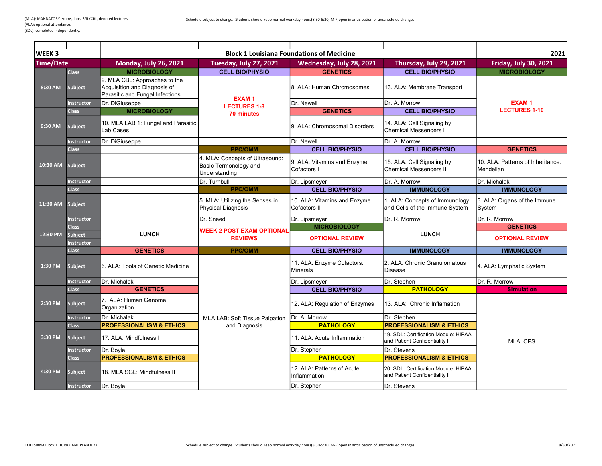| <b>WEEK3</b>     |                                     |                                                                                                  |                                                                           | <b>Block 1 Louisiana Foundations of Medicine</b> |                                                                        | 2021                                           |
|------------------|-------------------------------------|--------------------------------------------------------------------------------------------------|---------------------------------------------------------------------------|--------------------------------------------------|------------------------------------------------------------------------|------------------------------------------------|
| <b>Time/Date</b> |                                     | <b>Monday, July 26, 2021</b>                                                                     | Tuesday, July 27, 2021                                                    | Wednesday, July 28, 2021                         | Thursday, July 29, 2021                                                | <b>Friday, July 30, 2021</b>                   |
|                  | <b>Class</b>                        | <b>MICROBIOLOGY</b>                                                                              | <b>CELL BIO/PHYSIO</b>                                                    | <b>GENETICS</b>                                  | <b>CELL BIO/PHYSIO</b>                                                 | <b>MICROBIOLOGY</b>                            |
| 8:30 AM          | Subject                             | 9. MLA CBL: Approaches to the<br>Acquisition and Diagnosis of<br>Parasitic and Fungal Infections | <b>EXAM1</b>                                                              | I8. ALA: Human Chromosomes                       | 13. ALA: Membrane Transport                                            |                                                |
|                  | <b>Instructor</b>                   | Dr. DiGiuseppe                                                                                   | <b>LECTURES 1-8</b>                                                       | Dr. Newell                                       | Dr. A. Morrow                                                          | <b>EXAM1</b>                                   |
|                  | <b>Class</b>                        | <b>MICROBIOLOGY</b>                                                                              | <b>70 minutes</b>                                                         | <b>GENETICS</b>                                  | <b>CELL BIO/PHYSIO</b>                                                 | <b>LECTURES 1-10</b>                           |
| 9:30 AM          | <b>Subject</b>                      | 10. MLA LAB 1: Fungal and Parasitic<br>Lab Cases                                                 |                                                                           | 9. ALA: Chromosomal Disorders                    | 14. ALA: Cell Signaling by<br>Chemical Messengers I                    |                                                |
|                  | <b>Instructor</b>                   | Dr. DiGiuseppe                                                                                   |                                                                           | Dr. Newell                                       | Dr. A. Morrow                                                          |                                                |
|                  | <b>Class</b>                        |                                                                                                  | <b>PPC/OMM</b>                                                            | <b>CELL BIO/PHYSIO</b>                           | <b>CELL BIO/PHYSIO</b>                                                 | <b>GENETICS</b>                                |
| 10:30 AM         | Subject                             |                                                                                                  | 4. MLA: Concepts of Ultrasound:<br>Basic Termonology and<br>Understanding | 9. ALA: Vitamins and Enzyme<br>Cofactors I       | 15. ALA: Cell Signaling by<br>Chemical Messengers II                   | 10. ALA: Patterns of Inheritance:<br>Mendelian |
|                  | <b>Instructor</b>                   |                                                                                                  | Dr. Turnbull                                                              | Dr. Lipsmeyer                                    | Dr. A. Morrow                                                          | Dr. Michalak                                   |
|                  | <b>Class</b>                        |                                                                                                  | <b>PPC/OMM</b>                                                            | <b>CELL BIO/PHYSIO</b>                           | <b>IMMUNOLOGY</b>                                                      | <b>IMMUNOLOGY</b>                              |
| 11:30 AM         | <b>Subject</b>                      |                                                                                                  | 5. MLA: Utilizing the Senses in<br>Physical Diagnosis                     | 10. ALA: Vitamins and Enzyme<br>Cofactors II     | 1. ALA: Concepts of Immunology<br>and Cells of the Immune System       | 3. ALA: Organs of the Immune<br>System         |
|                  | <b>Instructor</b>                   |                                                                                                  | Dr. Sneed                                                                 | Dr. Lipsmeyer                                    | Dr. R. Morrow                                                          | Dr. R. Morrow                                  |
|                  | <b>Class</b>                        |                                                                                                  | <b>WEEK 2 POST EXAM OPTIONAL</b>                                          | <b>MICROBIOLOGY</b>                              |                                                                        | <b>GENETICS</b>                                |
| 12:30 PM         | <b>Subject</b><br><b>Instructor</b> | <b>LUNCH</b>                                                                                     | <b>REVIEWS</b>                                                            | <b>OPTIONAL REVIEW</b>                           | <b>LUNCH</b>                                                           | <b>OPTIONAL REVIEW</b>                         |
|                  | <b>Class</b>                        | <b>GENETICS</b>                                                                                  | <b>PPC/OMM</b>                                                            | <b>CELL BIO/PHYSIO</b>                           | <b>IMMUNOLOGY</b>                                                      | <b>IMMUNOLOGY</b>                              |
| 1:30 PM          | <b>Subject</b>                      | 6. ALA: Tools of Genetic Medicine                                                                |                                                                           | 11. ALA: Enzyme Cofactors:<br>Minerals           | 2. ALA: Chronic Granulomatous<br>Disease                               | 4. ALA: Lymphatic System                       |
|                  | <b>Instructor</b>                   | Dr. Michalak                                                                                     |                                                                           | Dr. Lipsmeyer                                    | Dr. Stephen                                                            | Dr. R. Morrow                                  |
|                  | <b>Class</b>                        | <b>GENETICS</b>                                                                                  |                                                                           | <b>CELL BIO/PHYSIO</b>                           | <b>PATHOLOGY</b>                                                       | <b>Simulation</b>                              |
| 2:30 PM          | <b>Subject</b>                      | 7. ALA: Human Genome<br>Organization                                                             |                                                                           | 12. ALA: Regulation of Enzymes                   | 13. ALA: Chronic Inflamation                                           |                                                |
|                  | <b>Instructor</b>                   | Dr. Michalak                                                                                     | MLA LAB: Soft Tissue Palpation                                            | Dr. A. Morrow                                    | Dr. Stephen                                                            |                                                |
|                  | <b>Class</b>                        | <b>PROFESSIONALISM &amp; ETHICS</b>                                                              | and Diagnosis                                                             | <b>PATHOLOGY</b>                                 | <b>PROFESSIONALISM &amp; ETHICS</b>                                    |                                                |
| 3:30 PM          | Subject                             | 17. ALA: Mindfulness I                                                                           |                                                                           | 11. ALA: Acute Inflammation                      | 19. SDL: Certification Module: HIPAA<br>and Patient Confidentiality I  | <b>MLA: CPS</b>                                |
|                  | <b>Instructor</b>                   | Dr. Boyle                                                                                        |                                                                           | Dr. Stephen                                      | Dr. Stevens                                                            |                                                |
|                  | <b>Class</b>                        | <b>PROFESSIONALISM &amp; ETHICS</b>                                                              |                                                                           | <b>PATHOLOGY</b>                                 | <b>PROFESSIONALISM &amp; ETHICS</b>                                    |                                                |
| 4:30 PM          | <b>Subject</b>                      | 18. MLA SGL: Mindfulness II                                                                      |                                                                           | 12. ALA: Patterns of Acute<br>Inflammation       | 20. SDL: Certification Module: HIPAA<br>and Patient Confidentiality II |                                                |
|                  | <b>Instructor</b>                   | Dr. Boyle                                                                                        |                                                                           | Dr. Stephen                                      | Dr. Stevens                                                            |                                                |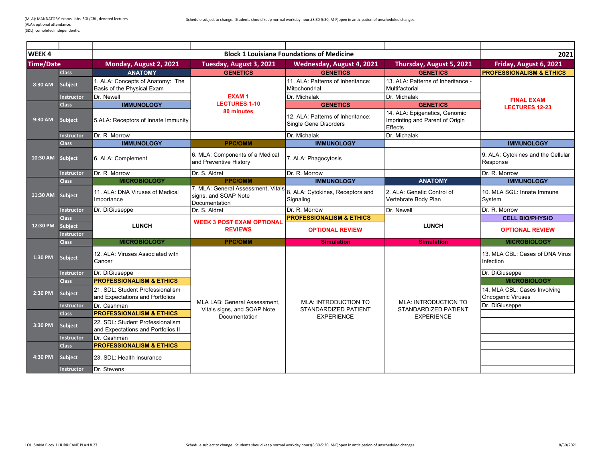| <b>WEEK4</b>     |                       |                                                                        |                                                                             | <b>Block 1 Louisiana Foundations of Medicine</b>           |                                                                             | 2021                                                     |
|------------------|-----------------------|------------------------------------------------------------------------|-----------------------------------------------------------------------------|------------------------------------------------------------|-----------------------------------------------------------------------------|----------------------------------------------------------|
| <b>Time/Date</b> |                       | Monday, August 2, 2021                                                 | Tuesday, August 3, 2021                                                     | Wednesday, August 4, 2021                                  | Thursday, August 5, 2021                                                    | Friday, August 6, 2021                                   |
|                  | <b>Class</b>          | <b>ANATOMY</b>                                                         | <b>GENETICS</b>                                                             | <b>GENETICS</b>                                            | <b>GENETICS</b>                                                             | <b>PROFESSIONALISM &amp; ETHICS</b>                      |
| 8:30 AM          | Subject               | 1. ALA: Concepts of Anatomy: The<br>Basis of the Physical Exam         |                                                                             | 11. ALA: Patterns of Inheritance:<br>Mitochondrial         | 13. ALA: Patterns of Inheritance -<br>Multifactorial                        |                                                          |
|                  | <b>Instructor</b>     | Dr. Newell                                                             | <b>EXAM1</b>                                                                | Dr. Michalak                                               | Dr. Michalak                                                                | <b>FINAL EXAM</b>                                        |
|                  | <b>Class</b>          | <b>IMMUNOLOGY</b>                                                      | <b>LECTURES 1-10</b>                                                        | <b>GENETICS</b>                                            | <b>GENETICS</b>                                                             | <b>LECTURES 12-23</b>                                    |
| 9:30 AM          | Subject               | 5.ALA: Receptors of Innate Immunity                                    | 80 minutes                                                                  | 12. ALA: Patterns of Inheritance:<br>Single Gene Disorders | 14. ALA: Epigenetics, Genomic<br>Imprinting and Parent of Origin<br>Effects |                                                          |
|                  | Instructor            | Dr. R. Morrow                                                          |                                                                             | Dr. Michalak                                               | Dr. Michalak                                                                |                                                          |
|                  | <b>Class</b>          | <b>IMMUNOLOGY</b>                                                      | <b>PPC/OMM</b>                                                              | <b>IMMUNOLOGY</b>                                          |                                                                             | <b>IMMUNOLOGY</b>                                        |
| 10:30 AM         | Subject               | 6. ALA: Complement                                                     | 6. MLA: Components of a Medical<br>and Preventive History                   | 7. ALA: Phagocytosis                                       |                                                                             | 9. ALA: Cytokines and the Cellular<br>Response           |
|                  | <b>Instructor</b>     | Dr. R. Morrow                                                          | Dr. S. Aldret                                                               | Dr. R. Morrow                                              |                                                                             | Dr. R. Morrow                                            |
|                  | <b>Class</b>          | <b>MICROBIOLOGY</b>                                                    | <b>PPC/OMM</b>                                                              | <b>IMMUNOLOGY</b>                                          | <b>ANATOMY</b>                                                              | <b>IMMUNOLOGY</b>                                        |
| 11:30 AM         | Subject               | 11. ALA: DNA Viruses of Medical<br>Importance                          | 7. MLA: General Assessment. Vitals<br>signs, and SOAP Note<br>Documentation | 8. ALA: Cytokines, Receptors and<br>Signaling              | 2. ALA: Genetic Control of<br>Vertebrate Body Plan                          | 10. MLA SGL: Innate Immune<br>System                     |
|                  | Instructor            | Dr. DiGiuseppe                                                         | Dr. S. Aldret                                                               | Dr. R. Morrow                                              | Dr. Newell                                                                  | Dr. R. Morrow                                            |
|                  | <b>Class</b>          |                                                                        |                                                                             | <b>PROFESSIONALISM &amp; ETHICS</b>                        |                                                                             | <b>CELL BIO/PHYSIO</b>                                   |
| 12:30 PM         | Subject<br>Instructor | <b>LUNCH</b>                                                           | <b>WEEK 3 POST EXAM OPTIONAL</b><br><b>REVIEWS</b>                          | <b>OPTIONAL REVIEW</b>                                     | <b>LUNCH</b>                                                                | <b>OPTIONAL REVIEW</b>                                   |
|                  | <b>Class</b>          | <b>MICROBIOLOGY</b>                                                    | <b>PPC/OMM</b>                                                              | <b>Simulation</b>                                          | <b>Simulation</b>                                                           | <b>MICROBIOLOGY</b>                                      |
| 1:30 PM          | Subject               | 12. ALA: Viruses Associated with<br>Cancer                             |                                                                             |                                                            |                                                                             | 13. MLA CBL: Cases of DNA Virus<br>Infection             |
|                  | <b>Instructor</b>     | Dr. DiGiuseppe                                                         |                                                                             |                                                            |                                                                             | Dr. DiGiuseppe                                           |
|                  | <b>Class</b>          | <b>PROFESSIONALISM &amp; ETHICS</b>                                    |                                                                             |                                                            |                                                                             | <b>MICROBIOLOGY</b>                                      |
| 2:30 PM          | <b>Subject</b>        | 21. SDL: Student Professionalism<br>and Expectations and Portfolios    |                                                                             |                                                            |                                                                             | 14. MLA CBL: Cases Involving<br><b>Oncogenic Viruses</b> |
|                  | <b>Instructor</b>     | Dr. Cashman                                                            | MLA LAB: General Assessment,                                                | <b>MLA: INTRODUCTION TO</b><br>STANDARDIZED PATIENT        | <b>MLA: INTRODUCTION TO</b><br>STANDARDIZED PATIENT                         | Dr. DiGiuseppe                                           |
|                  | <b>Class</b>          | <b>PROFESSIONALISM &amp; ETHICS</b>                                    | Vitals signs, and SOAP Note<br>Documentation                                | <b>EXPERIENCE</b>                                          | <b>EXPERIENCE</b>                                                           |                                                          |
| 3:30 PM          | Subject               | 22. SDL: Student Professionalism<br>and Expectations and Portfolios II |                                                                             |                                                            |                                                                             |                                                          |
|                  | Instructor            | Dr. Cashman                                                            |                                                                             |                                                            |                                                                             |                                                          |
|                  | <b>Class</b>          | <b>PROFESSIONALISM &amp; ETHICS</b>                                    |                                                                             |                                                            |                                                                             |                                                          |
| 4:30 PM          | <b>Subject</b>        | 23. SDL: Health Insurance                                              |                                                                             |                                                            |                                                                             |                                                          |
|                  | <b>Instructor</b>     | Dr. Stevens                                                            |                                                                             |                                                            |                                                                             |                                                          |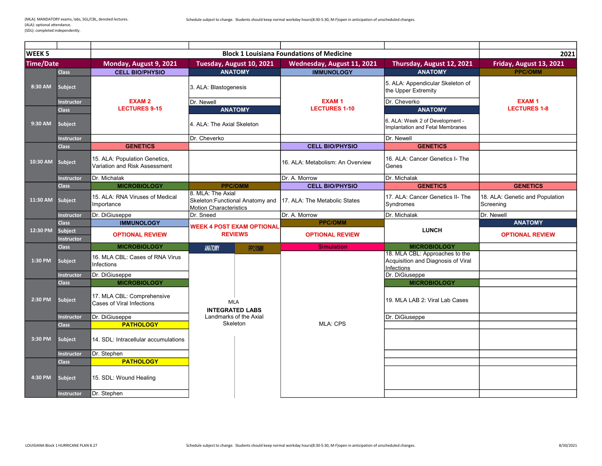| <b>WEEK 5</b>    |                                     |                                                                |                                                                                        |                                      | <b>Block 1 Louisiana Foundations of Medicine</b> |                                                                                    | 2021                                         |
|------------------|-------------------------------------|----------------------------------------------------------------|----------------------------------------------------------------------------------------|--------------------------------------|--------------------------------------------------|------------------------------------------------------------------------------------|----------------------------------------------|
| <b>Time/Date</b> |                                     | Monday, August 9, 2021                                         |                                                                                        | Tuesday, August 10, 2021             | Wednesday, August 11, 2021                       | Thursday, August 12, 2021                                                          | Friday, August 13, 2021                      |
|                  | <b>Class</b>                        | <b>CELL BIO/PHYSIO</b>                                         |                                                                                        | <b>ANATOMY</b>                       | <b>IMMUNOLOGY</b>                                | <b>ANATOMY</b>                                                                     | <b>PPC/OMM</b>                               |
| 8:30 AM          | <b>Subject</b>                      |                                                                | 3. ALA: Blastogenesis                                                                  |                                      |                                                  | 5. ALA: Appendicular Skeleton of<br>the Upper Extremity                            |                                              |
|                  | <b>Instructor</b>                   | <b>EXAM2</b>                                                   | Dr. Newell                                                                             |                                      | <b>EXAM1</b>                                     | Dr. Cheverko                                                                       | <b>EXAM1</b>                                 |
|                  | <b>Class</b>                        | <b>LECTURES 9-15</b>                                           |                                                                                        | <b>ANATOMY</b>                       | <b>LECTURES 1-10</b>                             | <b>ANATOMY</b>                                                                     | <b>LECTURES 1-8</b>                          |
| 9:30 AM          | <b>Subject</b>                      |                                                                | 4. ALA: The Axial Skeleton                                                             |                                      |                                                  | 6. ALA: Week 2 of Development -<br>Implantation and Fetal Membranes                |                                              |
|                  | <b>Instructor</b>                   |                                                                | Dr. Cheverko                                                                           |                                      |                                                  | Dr. Newell                                                                         |                                              |
|                  | <b>Class</b>                        | <b>GENETICS</b>                                                |                                                                                        |                                      | <b>CELL BIO/PHYSIO</b>                           | <b>GENETICS</b>                                                                    |                                              |
| 10:30 AM         | Subject                             | 15. ALA: Population Genetics,<br>Variation and Risk Assessment |                                                                                        |                                      | 16. ALA: Metabolism: An Overview                 | 16. ALA: Cancer Genetics I- The<br>Genes                                           |                                              |
|                  | <b>Instructor</b>                   | Dr. Michalak                                                   |                                                                                        |                                      | Dr. A. Morrow                                    | Dr. Michalak                                                                       |                                              |
|                  | <b>Class</b>                        | <b>MICROBIOLOGY</b>                                            |                                                                                        | <b>PPC/OMM</b>                       | <b>CELL BIO/PHYSIO</b>                           | <b>GENETICS</b>                                                                    | <b>GENETICS</b>                              |
| 11:30 AM         | <b>Subject</b>                      | 15. ALA: RNA Viruses of Medical<br>Importance                  | 8. MLA: The Axial<br>Skeleton: Functional Anatomy and<br><b>Motion Characteristics</b> |                                      | 17. ALA: The Metabolic States                    | 17. ALA: Cancer Genetics II- The<br>Syndromes                                      | 18. ALA: Genetic and Population<br>Screening |
|                  | <b>Instructor</b>                   | Dr. DiGiuseppe                                                 | Dr. Sneed                                                                              |                                      | Dr. A. Morrow                                    | Dr. Michalak                                                                       | Dr. Newell                                   |
|                  | <b>Class</b>                        | <b>IMMUNOLOGY</b>                                              | <b>WEEK 4 POST EXAM OPTIONAL</b>                                                       |                                      | <b>PPC/OMM</b>                                   |                                                                                    | <b>ANATOMY</b>                               |
| 12:30 PM         | <b>Subject</b><br><b>Instructor</b> | <b>OPTIONAL REVIEW</b>                                         |                                                                                        | <b>REVIEWS</b>                       | <b>OPTIONAL REVIEW</b>                           | <b>LUNCH</b>                                                                       | <b>OPTIONAL REVIEW</b>                       |
|                  | <b>Class</b>                        | <b>MICROBIOLOGY</b>                                            | ANATOMY                                                                                | PPC/OMM                              | <b>Simulation</b>                                | <b>MICROBIOLOGY</b>                                                                |                                              |
| 1:30 PM          | <b>Subject</b>                      | 16. MLA CBL: Cases of RNA Virus<br>Infections                  |                                                                                        |                                      |                                                  | 18. MLA CBL: Approaches to the<br>Acquisition and Diagnosis of Viral<br>Infections |                                              |
|                  | <b>Instructor</b>                   | Dr. DiGiuseppe                                                 |                                                                                        |                                      |                                                  | Dr. DiGiuseppe                                                                     |                                              |
|                  | <b>Class</b>                        | <b>MICROBIOLOGY</b>                                            |                                                                                        |                                      |                                                  | <b>MICROBIOLOGY</b>                                                                |                                              |
| 2:30 PM          | <b>Subject</b>                      | 17. MLA CBL: Comprehensive<br>Cases of Viral Infections        |                                                                                        | <b>MLA</b><br><b>INTEGRATED LABS</b> |                                                  | 19. MLA LAB 2: Viral Lab Cases                                                     |                                              |
|                  | <b>Instructor</b>                   | Dr. DiGiuseppe                                                 |                                                                                        | Landmarks of the Axial               |                                                  | Dr. DiGiuseppe                                                                     |                                              |
|                  | <b>Class</b>                        | <b>PATHOLOGY</b>                                               |                                                                                        | Skeleton                             | <b>MLA: CPS</b>                                  |                                                                                    |                                              |
| 3:30 PM          | <b>Subject</b>                      | 14. SDL: Intracellular accumulations                           |                                                                                        |                                      |                                                  |                                                                                    |                                              |
|                  | <b>Instructor</b>                   | Dr. Stephen                                                    |                                                                                        |                                      |                                                  |                                                                                    |                                              |
|                  | <b>Class</b>                        | <b>PATHOLOGY</b>                                               |                                                                                        |                                      |                                                  |                                                                                    |                                              |
| 4:30 PM          | <b>Subject</b>                      | 15. SDL: Wound Healing                                         |                                                                                        |                                      |                                                  |                                                                                    |                                              |
|                  | <b>Instructor</b>                   | Dr. Stephen                                                    |                                                                                        |                                      |                                                  |                                                                                    |                                              |
|                  |                                     |                                                                |                                                                                        |                                      |                                                  |                                                                                    |                                              |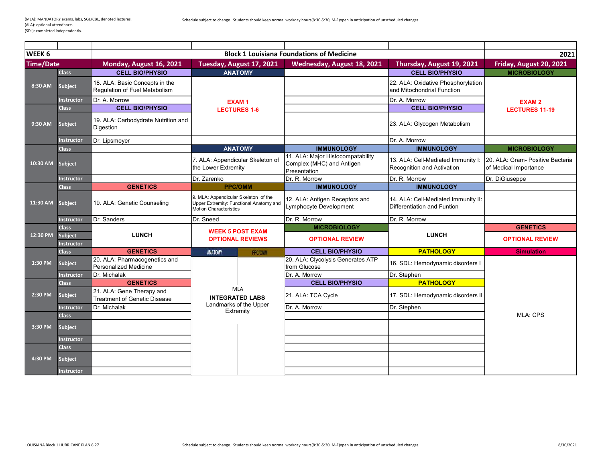2021 Time/Date Monday, August 16, 2021 Tuesday, August 17, 2021 Wednesday, August 18, 2021 Thursday, August 19, 2021 Friday, August 20, 2021 Class | CELL BIO/PHYSIO | ANATOMY | CHARATOMY | CELL BIO/PHYSIO | MICROBIOLOGY Subject 18. ALA: Basic Concepts in the Regulation of Fuel Metabolism 22. ALA: Oxidative Phosphorylation and Mitochondrial Function Instructor Dr. A. Morrow **Dr. A. Morrow Community Community Community EXAM 1** Dr. A. Morrow Dr. A. Morrow Class CELL BIO/PHYSIO CELL BIO/PHYSIO Subject 19. ALA: Carbodydrate Nutrition and<br>Digestion 23. ALA: Glycogen Metabolism Instructor Dr. Lipsmeyer Dr. A. Morrow Dr. A. Morrow Dr. A. Morrow Dr. A. Morrow Dr. A. Morrow Class ANATOMY IMMUNOLOGY **IMMUNOLOGY IMMUNOLOGY IMMUNOLOGY** IMMUNOLOGY **IMMUNOLOGY** Subject 7. ALA: Appendicular Skeleton of the Lower Extremity 11. ALA: Major Histocompatability Complex (MHC) and Antigen Presentation 13. ALA: Cell-Mediated Immunity I: Recognition and Activation 20. ALA: Gram- Positive Bacteria of Medical Importance Instructor **Dr. Zarenko** Dr. Zarenko Dr. R. Morrow Dr. R. Morrow Dr. R. Morrow Dr. R. Morrow Dr. DiGiuseppe Class Content of the CENETICS Class Class Class Class Content of the Cene of the Class Class Class Class Class Subject 19. ALA: Genetic Counseling 9. MLA: Appendicular Skeleton of the Upper Extremity: Functional Anatomy and Motion Characteristics 12. ALA: Antigen Receptors and Lymphocyte Development 14. ALA: Cell-Mediated Immunity II: Differentiation and Funtion Instructor Dr. Sanders Dr. Sanders Dr. Sneed Dr. R. Morrow Dr. R. Morrow Dr. R. Morrow Dr. R. Morrow Class Change of the Class Class Change of the Class Class Change of the Class Class Change of the Class Change of the Class Class Change of the Class Class Change of the Class Class Change of the Class Class Change of the Subject Instructor Class **CENETICS CONTAINS ANATOMY CELL BIO/PHYSIO PATHOLOGY Simulation** Subject 20. ALA: Pharmacogenetics and Personalized Medicine 20. ALA: Clycolysis Generates ATP zu. ALA. Ciycolysis Generates ATF [16. SDL: Hemodynamic disorders I Instructor Dr. Michalak Dr. A. Morrow Dr. Stephen Class **GENETICS CELL BIO/PHYSIO PATHOLOGY** Subject 21. ALA: Gene Therapy and<br>Treatment of Genetic Disease 21. ALA: TCA Cycle 17. SDL: Hemodynamic disorders II Instructor Dr. Michalak **Dr. Stephen** Landmarks of the Upper Dr. A. Morrow Dr. Stephen Class Subject Instructor Class Subject Instructor EXAM 2 LECTURES 11-19 MLA: CPS OPTIONAL REVIEW 1:30 PM 2:30 PM 3:30 PM 4:30 PM 11:30 AM 12:30 PM Subject LUNCH **WEEK 5 POST EXAM WEEK AND SUBJECT AND SUBJECT LUNCH** OPTIONAL REVIEWS OPTIONAL REVIEW 10:30 AM WEEK 6 Block 1 Louisiana Foundations of Medicine 8:30 AM 9:30 AM EXAM 1 LECTURES 1-6 INTEGRATED LABS Landmarks of the Upper Extremity MLA **Experimental Contract of the Contract of Texas and Texas and Texas and Texas and Texas and Texas and Texas and**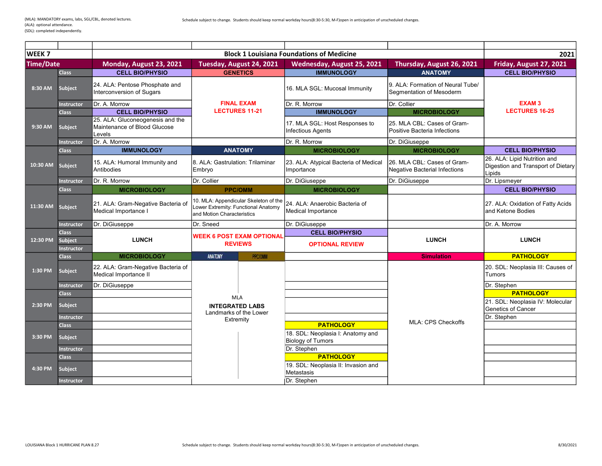| <b>WEEK7</b>     |                              |                                                                            |                                                                                                            | <b>Block 1 Louisiana Foundations of Medicine</b>            |                                                                     | 2021                                                                         |
|------------------|------------------------------|----------------------------------------------------------------------------|------------------------------------------------------------------------------------------------------------|-------------------------------------------------------------|---------------------------------------------------------------------|------------------------------------------------------------------------------|
| <b>Time/Date</b> |                              | Monday, August 23, 2021                                                    | Tuesday, August 24, 2021                                                                                   | Wednesday, August 25, 2021                                  | Thursday, August 26, 2021                                           | Friday, August 27, 2021                                                      |
|                  | <b>Class</b>                 | <b>CELL BIO/PHYSIO</b>                                                     | <b>GENETICS</b>                                                                                            | <b>IMMUNOLOGY</b>                                           | <b>ANATOMY</b>                                                      | <b>CELL BIO/PHYSIO</b>                                                       |
| 8:30 AM          | Subject                      | 24. ALA: Pentose Phosphate and<br>Interconversion of Sugars                |                                                                                                            | 16. MLA SGL: Mucosal Immunity                               | 9. ALA: Formation of Neural Tube/<br>Segmentation of Mesoderm       |                                                                              |
|                  | <b>Instructor</b>            | Dr. A. Morrow                                                              | <b>FINAL EXAM</b>                                                                                          | Dr. R. Morrow                                               | Dr. Collier                                                         | <b>EXAM3</b>                                                                 |
|                  | <b>Class</b>                 | <b>CELL BIO/PHYSIO</b>                                                     | <b>LECTURES 11-21</b>                                                                                      | <b>IMMUNOLOGY</b>                                           | <b>MICROBIOLOGY</b>                                                 | <b>LECTURES 16-25</b>                                                        |
| 9:30 AM          | Subject                      | 25. ALA: Gluconeogenesis and the<br>Maintenance of Blood Glucose<br>Levels |                                                                                                            | 17. MLA SGL: Host Responses to<br><b>Infectious Agents</b>  | 25. MLA CBL: Cases of Gram-<br>Positive Bacteria Infections         |                                                                              |
|                  | <b>Instructor</b>            | Dr. A. Morrow                                                              |                                                                                                            | Dr. R. Morrow                                               | Dr. DiGiuseppe                                                      |                                                                              |
|                  | <b>Class</b>                 | <b>IMMUNOLOGY</b>                                                          | <b>ANATOMY</b>                                                                                             | <b>MICROBIOLOGY</b>                                         | <b>MICROBIOLOGY</b>                                                 | <b>CELL BIO/PHYSIO</b>                                                       |
| 10:30 AM         | Subject                      | 15. ALA: Humoral Immunity and<br>Antibodies                                | I8. ALA: Gastrulation: Trilaminar<br>Embryo                                                                | 23. ALA: Atypical Bacteria of Medical<br>Importance         | 26. MLA CBL: Cases of Gram-<br><b>Negative Bacterial Infections</b> | 26. ALA: Lipid Nutrition and<br>Digestion and Transport of Dietary<br>Lipids |
|                  | <b>Instructor</b>            | Dr. R. Morrow                                                              | Dr. Collier                                                                                                | Dr. DiGiuseppe                                              | Dr. DiGiuseppe                                                      | Dr. Lipsmeyer                                                                |
|                  | <b>Class</b>                 | <b>MICROBIOLOGY</b>                                                        | <b>PPC/OMM</b>                                                                                             | <b>MICROBIOLOGY</b>                                         |                                                                     | <b>CELL BIO/PHYSIO</b>                                                       |
| 11:30 AM         | Subject                      | 21. ALA: Gram-Negative Bacteria of<br>Medical Importance I                 | 10. MLA: Appendicular Skeleton of the<br>Lower Extremity: Functional Anatomy<br>and Motion Characteristics | 24. ALA: Anaerobic Bacteria of<br><b>Medical Importance</b> |                                                                     | 27. ALA: Oxidation of Fatty Acids<br>and Ketone Bodies                       |
|                  | <b>Instructor</b>            | Dr. DiGiuseppe                                                             | Dr. Sneed                                                                                                  | Dr. DiGiuseppe                                              |                                                                     | Dr. A. Morrow                                                                |
|                  | <b>Class</b>                 |                                                                            | <b>WEEK 6 POST EXAM OPTIONAL</b>                                                                           | <b>CELL BIO/PHYSIO</b>                                      |                                                                     |                                                                              |
| 12:30 PM         | Subject<br><b>Instructor</b> | <b>LUNCH</b>                                                               | <b>REVIEWS</b>                                                                                             | <b>OPTIONAL REVIEW</b>                                      | <b>LUNCH</b>                                                        | <b>LUNCH</b>                                                                 |
|                  | <b>Class</b>                 | <b>MICROBIOLOGY</b>                                                        | <b>ANATOMY</b><br><b>PPC/OMM</b>                                                                           |                                                             | <b>Simulation</b>                                                   | <b>PATHOLOGY</b>                                                             |
| 1:30 PM          | <b>Subject</b>               | 22. ALA: Gram-Negative Bacteria of<br>Medical Importance II                |                                                                                                            |                                                             |                                                                     | 20. SDL: Neoplasia III: Causes of<br>Tumors                                  |
|                  | <b>Instructor</b>            | Dr. DiGiuseppe                                                             |                                                                                                            |                                                             |                                                                     | Dr. Stephen                                                                  |
|                  | <b>Class</b>                 |                                                                            | <b>MLA</b>                                                                                                 |                                                             |                                                                     | <b>PATHOLOGY</b>                                                             |
| 2:30 PM          | <b>Subject</b>               |                                                                            | <b>INTEGRATED LABS</b><br>Landmarks of the Lower                                                           |                                                             |                                                                     | 21. SDL: Neoplasia IV: Molecular<br>Genetics of Cancer                       |
|                  | <b>Instructor</b>            |                                                                            | Extremity                                                                                                  |                                                             |                                                                     | Dr. Stephen                                                                  |
|                  | <b>Class</b>                 |                                                                            |                                                                                                            | <b>PATHOLOGY</b>                                            | <b>MLA: CPS Checkoffs</b>                                           |                                                                              |
| 3:30 PM          | <b>Subject</b>               |                                                                            |                                                                                                            | 18. SDL: Neoplasia I: Anatomy and<br>Biology of Tumors      |                                                                     |                                                                              |
|                  | Instructor                   |                                                                            |                                                                                                            | Dr. Stephen                                                 |                                                                     |                                                                              |
|                  | <b>Class</b>                 |                                                                            |                                                                                                            | <b>PATHOLOGY</b>                                            |                                                                     |                                                                              |
| 4:30 PM          | Subject                      |                                                                            |                                                                                                            | 19. SDL: Neoplasia II: Invasion and<br>Metastasis           |                                                                     |                                                                              |
|                  | Instructor                   |                                                                            |                                                                                                            | Dr. Stephen                                                 |                                                                     |                                                                              |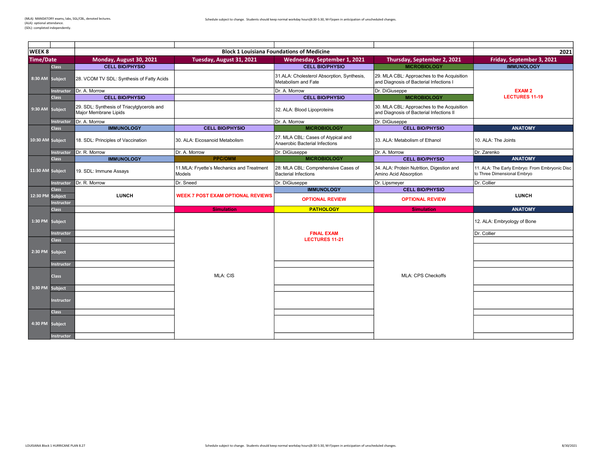2021 Time/Date Monday, August 30, 2021 Tuesday, August 31, 2021 Wednesday, September 1, 2021 Thursday, September 2, 2021 Friday, September 3, 2021<br>Class CELL BIO/PHYSIO CONTRIBUTER CELL BIO/PHYSIO CELL BIO/PHYSIO MICROBIOLOGY M Class CELL BIO/PHYSIO CELL BIO/PHYSIO CELL BIO/PHYSIO CELL BIO/PHYSIO NICROBIOLOGY CHANNELOGY IMMUNOLOGY Subject 28. VCOM TV SDL: Synthesis of Fatty Acids 31.ALA: Cholesterol Absorption, Synthesis, Metabolism and Fate 29. MLA CBL: Approaches to the Acquisition and Diagnosis of Bacterial Infections I Instructor Dr. A. Morrow Dr. A. Morrow Dr. A. Morrow Dr. A. Morrow Dr. D. DiGiuseppe<br>Class CELL BIO/PHYSIO DR. DIGiuseppe Dr. DiGiuseppe Dr. DiGiuseppe Dr. DiGiuseppe Dr. DiGiuseppe Dr. DiGiusepp **CELL BIO/PHYSIO** CELL BIO/PHYSIO **CELL BIO/PHYSIO** CELL BIO/PHYSIO **CELL BIO/PHYSIO** Subject 29. SDL: Synthesis of Triacylglycerols and<br>Major Membrane Lipids 29. SDL: Synthesis of Triacylglycerols and the Acquisition and the Acquisition of the Acquisition (32. ALA: Blood Lipoproteins and Diagnosis of Bacterial Infections II and Diagnosis of Bacterial Infections II and Diagnosis Instructor Dr. A. Morrow Dr. DiGiuseppe **Dr. A. Morrow Dr. A. Morrow** Dr. DiGiuseppe Class IMMUNOLOGY CELL BIO/PHYSIO MICROBIOLOGY CELL BIO/PHYSIO ANATOMY Subject 18. SDL: Principles of Vaccination 30. ALA: Eicosanoid Metabolism 27. MLA CBL: Cases of Atypical and |27. MLA CBL: Cases of Atypical and **2008** | 33. ALA: Metabolism of Ethanol **| 10. ALA: The Joints**<br>| Anaerobic Bacterial Infections Instructor Dr. R. Morrow Dr. A. Morrow Dr. A. Morrow Dr. A. Morrow Dr. DiGiuseppe Dr. DiGiuseppe Dr. A. Morrow Dr. Zarenko Class IMMUNOLOGY PRC/OMM MICROBIOLOGY CELL BIO/PHYSIO ANATOMY Subject 19. SDL: Immune Assays 11.MLA: Fryette's Mechanics and Treatment Models 28: MLA CBL: Comprehensive Cases of Bacterial Infections 34. ALA: Protein Nutrition, Digestion and Amino Acid Absorption 11. ALA: The Early Embryo: From Embryonic Disc to Three Dimensional Embryo Instructor Dr. R. Morrow **Dr. Collier** Dr. Sneed **Dr. DiGiuseppe Dr. DiGiuseppe** Dr. Lipsmeyer **Dr. Collier** Dr. Collier Class IMMUNOLOGY CELL BIO/PHYSIO 12:30 PM Subject Instructor **Class** Simulation Class Simulation **PATHOLOGY Simulation Simulation ANATOMY** Subject 2. ALA: Embryology of Bone (12. ALA: Embryology of Bone (12. ALA: Embryology of Bone (12. ALA: Embryology of Bone (12. ALA: Embryology of Bone (12. ALA: Embryology of Bone (12. ALA: Embryology of Bone (12. ALA: Emb Instructor **Instructor** and Dr. Collier **Instructor Dr. Collier Dr. Collier** Class Subject nstructor Class 3:30 PM Subject Instructor Class Subject EXAM 2 LECTURES 11-19 OPTIONAL REVIEW LUNCH OPTIONAL REVIEW 1:30 PM MLA: CIS MLA: CPS Checkoffs LUNCH WEEK 7 POST EXAM OPTIONAL REVIEWS 2:30 PM 4:30 PM FINAL EXAM LECTURES 11-21 11:30 AM WEEK 8 Block 1 Louisiana Foundations of Medicine 8:30 AM 9:30 AM 10:30 AM

structor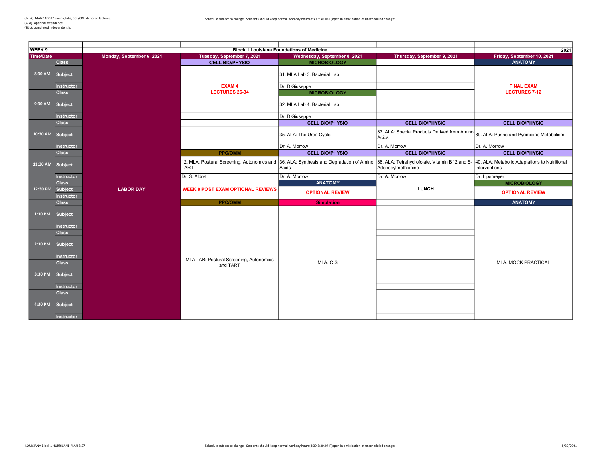÷

| WEEK <sub>9</sub> | <b>Block 1 Louisiana Foundations of Medicine</b>                         |                           |                                                            |                                                      |                                                                     | 2021                                                           |
|-------------------|--------------------------------------------------------------------------|---------------------------|------------------------------------------------------------|------------------------------------------------------|---------------------------------------------------------------------|----------------------------------------------------------------|
| <b>Time/Date</b>  |                                                                          | Monday, September 6, 2021 | Tuesday, September 7, 2021                                 | Wednesday, September 8, 2021                         | Thursday, September 9, 2021                                         | Friday, September 10, 2021                                     |
|                   | <b>Class</b>                                                             |                           |                                                            |                                                      |                                                                     | <b>ANATOMY</b>                                                 |
| 8:30 AM           | Subject                                                                  |                           | <b>CELL BIO/PHYSIO</b>                                     | <b>MICROBIOLOGY</b><br>31. MLA Lab 3: Bacterial Lab  |                                                                     |                                                                |
|                   | <b>Instructor</b>                                                        |                           | <b>EXAM4</b>                                               | Dr. DiGiuseppe                                       |                                                                     | <b>FINAL EXAM</b>                                              |
|                   | <b>Class</b>                                                             |                           | <b>LECTURES 26-34</b>                                      | <b>MICROBIOLOGY</b>                                  |                                                                     | <b>LECTURES 7-12</b>                                           |
| 9:30 AM           | Subject                                                                  |                           |                                                            | 32. MLA Lab 4: Bacterial Lab                         |                                                                     |                                                                |
|                   | <b>Instructor</b>                                                        |                           |                                                            | Dr. DiGiuseppe                                       |                                                                     |                                                                |
|                   | <b>Class</b>                                                             |                           |                                                            | <b>CELL BIO/PHYSIO</b>                               | <b>CELL BIO/PHYSIO</b>                                              | <b>CELL BIO/PHYSIO</b>                                         |
| 10:30 AM Subject  |                                                                          |                           |                                                            | 35. ALA: The Urea Cycle                              | 37. ALA: Special Products Derived from Amino<br>Acids               | 39. ALA: Purine and Pyrimidine Metabolism                      |
|                   | <b>Instructor</b>                                                        |                           |                                                            | Dr. A. Morrow                                        | Dr. A. Morrow                                                       | Dr. A. Morrow                                                  |
|                   | <b>Class</b>                                                             |                           | <b>PPC/OMM</b>                                             | <b>CELL BIO/PHYSIO</b>                               | <b>CELL BIO/PHYSIO</b>                                              | <b>CELL BIO/PHYSIO</b>                                         |
| 11:30 AM Subject  |                                                                          |                           | 12. MLA: Postural Screening, Autonomics and<br><b>TART</b> | 36. ALA: Synthesis and Degradation of Amino<br>Acids | 38. ALA: Tetrahydrofolate, Vitamin B12 and S-<br>Adenosylmethionine | 40. ALA: Metabolic Adaptations to Nutritional<br>Interventions |
|                   | <b>Instructor</b>                                                        |                           | Dr. S. Aldret                                              | Dr. A. Morrow                                        | Dr. A. Morrow                                                       | Dr. Lipsmeyer                                                  |
|                   | <b>Class</b>                                                             |                           |                                                            | <b>ANATOMY</b>                                       |                                                                     | <b>MICROBIOLOGY</b>                                            |
| 12:30 PM          | Subject<br><b>Instructor</b>                                             | <b>LABOR DAY</b>          | <b>WEEK 8 POST EXAM OPTIONAL REVIEWS</b>                   | <b>OPTIONAL REVIEW</b>                               | <b>LUNCH</b>                                                        | <b>OPTIONAL REVIEW</b>                                         |
|                   | <b>Class</b>                                                             |                           | <b>PPC/OMM</b>                                             | <b>Simulation</b>                                    |                                                                     | <b>ANATOMY</b>                                                 |
| 1:30 PM           | <b>Subject</b><br><b>Instructor</b>                                      |                           |                                                            |                                                      |                                                                     |                                                                |
| 2:30 PM           | <b>Class</b><br>Subject<br><b>Instructor</b>                             |                           |                                                            |                                                      |                                                                     |                                                                |
|                   | <b>Class</b>                                                             |                           | MLA LAB: Postural Screening, Autonomics                    | <b>MLA: CIS</b>                                      |                                                                     | <b>MLA: MOCK PRACTICAL</b>                                     |
| 3:30 PM           | <b>Subject</b>                                                           |                           | and TART                                                   |                                                      |                                                                     |                                                                |
| 4:30 PM           | <b>Instructor</b><br><b>Class</b><br><b>Subject</b><br><b>Instructor</b> |                           |                                                            |                                                      |                                                                     |                                                                |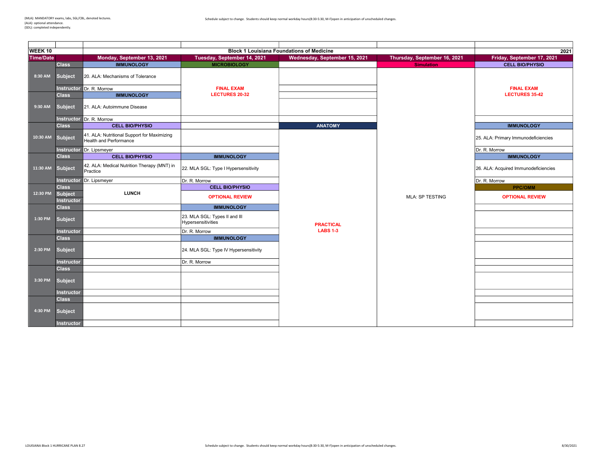| WEEK <sub>10</sub> |                              |                                                                              | 2021                                                |                                                                                   |                              |                                      |
|--------------------|------------------------------|------------------------------------------------------------------------------|-----------------------------------------------------|-----------------------------------------------------------------------------------|------------------------------|--------------------------------------|
| <b>Time/Date</b>   |                              | Monday, September 13, 2021                                                   | Tuesday, September 14, 2021                         | <b>Block 1 Louisiana Foundations of Medicine</b><br>Wednesday, September 15, 2021 | Thursday, September 16, 2021 | Friday, September 17, 2021           |
|                    | <b>Class</b>                 | <b>IMMUNOLOGY</b>                                                            | <b>MICROBIOLOGY</b>                                 |                                                                                   | <b>Simulation</b>            | <b>CELL BIO/PHYSIO</b>               |
| 8:30 AM            | <b>Subject</b>               | 20. ALA: Mechanisms of Tolerance                                             |                                                     |                                                                                   |                              |                                      |
|                    | <b>Instructor</b>            | Dr. R. Morrow                                                                | <b>FINAL EXAM</b>                                   |                                                                                   |                              | <b>FINAL EXAM</b>                    |
|                    | <b>Class</b>                 | <b>IMMUNOLOGY</b>                                                            | <b>LECTURES 20-32</b>                               |                                                                                   |                              | <b>LECTURES 35-42</b>                |
| 9:30 AM            | <b>Subject</b>               | 21. ALA: Autoimmune Disease                                                  |                                                     |                                                                                   |                              |                                      |
|                    |                              | Instructor Dr. R. Morrow                                                     |                                                     |                                                                                   |                              |                                      |
|                    | <b>Class</b>                 | <b>CELL BIO/PHYSIO</b>                                                       |                                                     | <b>ANATOMY</b>                                                                    |                              | <b>IMMUNOLOGY</b>                    |
| 10:30 AM           | <b>Subject</b>               | 41. ALA: Nutritional Support for Maximizing<br><b>Health and Performance</b> |                                                     |                                                                                   |                              | 25. ALA: Primary Immunodeficiencies  |
|                    | <b>Instructor</b>            | Dr. Lipsmeyer                                                                |                                                     |                                                                                   |                              | Dr. R. Morrow                        |
|                    | <b>Class</b>                 | <b>CELL BIO/PHYSIO</b>                                                       | <b>IMMUNOLOGY</b>                                   |                                                                                   |                              | <b>IMMUNOLOGY</b>                    |
| 11:30 AM           | <b>Subject</b>               | 42. ALA: Medical Nutrition Therapy (MNT) in<br>Practice                      | 22. MLA SGL: Type I Hypersensitivity                |                                                                                   |                              | 26. ALA: Acquired Immunodeficiencies |
|                    |                              | <b>Instructor</b> Dr. Lipsmeyer                                              | Dr. R. Morrow                                       |                                                                                   |                              | Dr. R. Morrow                        |
|                    | <b>Class</b>                 |                                                                              | <b>CELL BIO/PHYSIO</b>                              |                                                                                   |                              | <b>PPC/OMM</b>                       |
| 12:30 PM           | Subject<br><b>Instructor</b> | <b>LUNCH</b>                                                                 | <b>OPTIONAL REVIEW</b>                              |                                                                                   | <b>MLA: SP TESTING</b>       | <b>OPTIONAL REVIEW</b>               |
|                    | <b>Class</b>                 |                                                                              | <b>IMMUNOLOGY</b>                                   |                                                                                   |                              |                                      |
| 1:30 PM            | <b>Subject</b>               |                                                                              | 23. MLA SGL: Types II and III<br>Hypersensitivities | <b>PRACTICAL</b>                                                                  |                              |                                      |
|                    | <b>Instructor</b>            |                                                                              | Dr. R. Morrow                                       | <b>LABS 1-3</b>                                                                   |                              |                                      |
|                    | <b>Class</b>                 |                                                                              | <b>IMMUNOLOGY</b>                                   |                                                                                   |                              |                                      |
| 2:30 PM            | <b>Subject</b>               |                                                                              | 24. MLA SGL: Type IV Hypersensitivity               |                                                                                   |                              |                                      |
|                    | <b>Instructor</b>            |                                                                              | Dr. R. Morrow                                       |                                                                                   |                              |                                      |
|                    | <b>Class</b>                 |                                                                              |                                                     |                                                                                   |                              |                                      |
| 3:30 PM            | <b>Subject</b>               |                                                                              |                                                     |                                                                                   |                              |                                      |
|                    | Instructor                   |                                                                              |                                                     |                                                                                   |                              |                                      |
|                    | <b>Class</b>                 |                                                                              |                                                     |                                                                                   |                              |                                      |
| 4:30 PM            | <b>Subject</b>               |                                                                              |                                                     |                                                                                   |                              |                                      |
|                    | <b>Instructor</b>            |                                                                              |                                                     |                                                                                   |                              |                                      |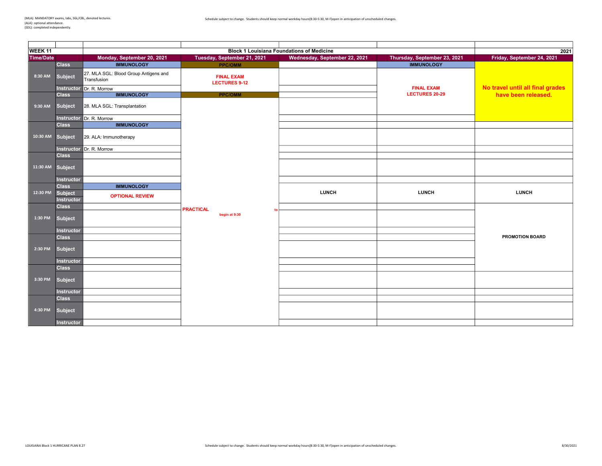| WEEK <sub>11</sub> |                              |                                                      | 2021                                      |                                                                                   |                              |                                  |
|--------------------|------------------------------|------------------------------------------------------|-------------------------------------------|-----------------------------------------------------------------------------------|------------------------------|----------------------------------|
| <b>Time/Date</b>   |                              | Monday, September 20, 2021                           | Tuesday, September 21, 2021               | <b>Block 1 Louisiana Foundations of Medicine</b><br>Wednesday, September 22, 2021 | Thursday, September 23, 2021 | Friday, September 24, 2021       |
|                    | <b>Class</b>                 | <b>IMMUNOLOGY</b>                                    | <b>PPC/OMM</b>                            |                                                                                   | <b>IMMUNOLOGY</b>            |                                  |
| 8:30 AM            | Subject                      | 27. MLA SGL: Blood Group Antigens and<br>Transfusion | <b>FINAL EXAM</b><br><b>LECTURES 9-12</b> |                                                                                   |                              |                                  |
|                    |                              | Instructor Dr. R. Morrow                             |                                           |                                                                                   | <b>FINAL EXAM</b>            | No travel until all final grades |
|                    | <b>Class</b>                 | <b>IMMUNOLOGY</b>                                    | <b>PPC/OMM</b>                            |                                                                                   | <b>LECTURES 20-29</b>        | have been released.              |
| 9:30 AM            | <b>Subject</b>               | 28. MLA SGL: Transplantation                         |                                           |                                                                                   |                              |                                  |
|                    |                              | Instructor Dr. R. Morrow                             |                                           |                                                                                   |                              |                                  |
|                    | <b>Class</b>                 | <b>IMMUNOLOGY</b>                                    |                                           |                                                                                   |                              |                                  |
| 10:30 AM           | <b>Subject</b>               | 29. ALA: Immunotherapy                               |                                           |                                                                                   |                              |                                  |
|                    |                              | Instructor Dr. R. Morrow                             |                                           |                                                                                   |                              |                                  |
|                    | <b>Class</b>                 |                                                      |                                           |                                                                                   |                              |                                  |
| 11:30 AM           | Subject                      |                                                      |                                           |                                                                                   |                              |                                  |
|                    | <b>Instructor</b>            |                                                      |                                           |                                                                                   |                              |                                  |
|                    | <b>Class</b>                 | <b>IMMUNOLOGY</b>                                    |                                           |                                                                                   |                              |                                  |
| 12:30 PM           | Subject<br><b>Instructor</b> | <b>OPTIONAL REVIEW</b>                               |                                           | <b>LUNCH</b>                                                                      | <b>LUNCH</b>                 | <b>LUNCH</b>                     |
|                    | <b>Class</b>                 |                                                      | <b>PRACTICAL</b><br>f <sub>0</sub>        |                                                                                   |                              |                                  |
| 1:30 PM            | Subject                      |                                                      | begin at 9:30                             |                                                                                   |                              |                                  |
|                    | Instructor                   |                                                      |                                           |                                                                                   |                              |                                  |
|                    | <b>Class</b>                 |                                                      |                                           |                                                                                   |                              | <b>PROMOTION BOARD</b>           |
| 2:30 PM            | <b>Subject</b>               |                                                      |                                           |                                                                                   |                              |                                  |
|                    | Instructor                   |                                                      |                                           |                                                                                   |                              |                                  |
|                    | <b>Class</b>                 |                                                      |                                           |                                                                                   |                              |                                  |
| 3:30 PM            | Subject                      |                                                      |                                           |                                                                                   |                              |                                  |
|                    | Instructor                   |                                                      |                                           |                                                                                   |                              |                                  |
|                    | <b>Class</b>                 |                                                      |                                           |                                                                                   |                              |                                  |
| 4:30 PM            | Subject                      |                                                      |                                           |                                                                                   |                              |                                  |
|                    | <b>Instructor</b>            |                                                      |                                           |                                                                                   |                              |                                  |